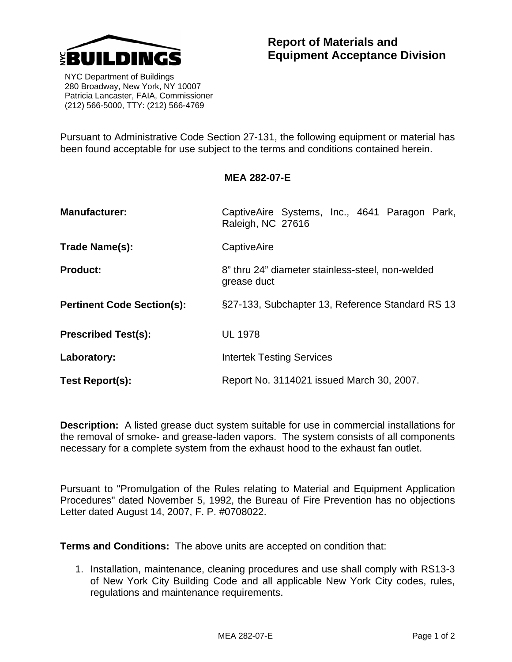

 NYC Department of Buildings 280 Broadway, New York, NY 10007 Patricia Lancaster, FAIA, Commissioner (212) 566-5000, TTY: (212) 566-4769

Pursuant to Administrative Code Section 27-131, the following equipment or material has been found acceptable for use subject to the terms and conditions contained herein.

## **MEA 282-07-E**

| <b>Manufacturer:</b>              | CaptiveAire Systems, Inc., 4641 Paragon Park,<br>Raleigh, NC 27616 |
|-----------------------------------|--------------------------------------------------------------------|
| Trade Name(s):                    | CaptiveAire                                                        |
| <b>Product:</b>                   | 8" thru 24" diameter stainless-steel, non-welded<br>grease duct    |
| <b>Pertinent Code Section(s):</b> | §27-133, Subchapter 13, Reference Standard RS 13                   |
| <b>Prescribed Test(s):</b>        | <b>UL 1978</b>                                                     |
| Laboratory:                       | <b>Intertek Testing Services</b>                                   |
| Test Report(s):                   | Report No. 3114021 issued March 30, 2007.                          |

**Description:** A listed grease duct system suitable for use in commercial installations for the removal of smoke- and grease-laden vapors. The system consists of all components necessary for a complete system from the exhaust hood to the exhaust fan outlet.

Pursuant to "Promulgation of the Rules relating to Material and Equipment Application Procedures" dated November 5, 1992, the Bureau of Fire Prevention has no objections Letter dated August 14, 2007, F. P. #0708022.

**Terms and Conditions:** The above units are accepted on condition that:

1. Installation, maintenance, cleaning procedures and use shall comply with RS13-3 of New York City Building Code and all applicable New York City codes, rules, regulations and maintenance requirements.